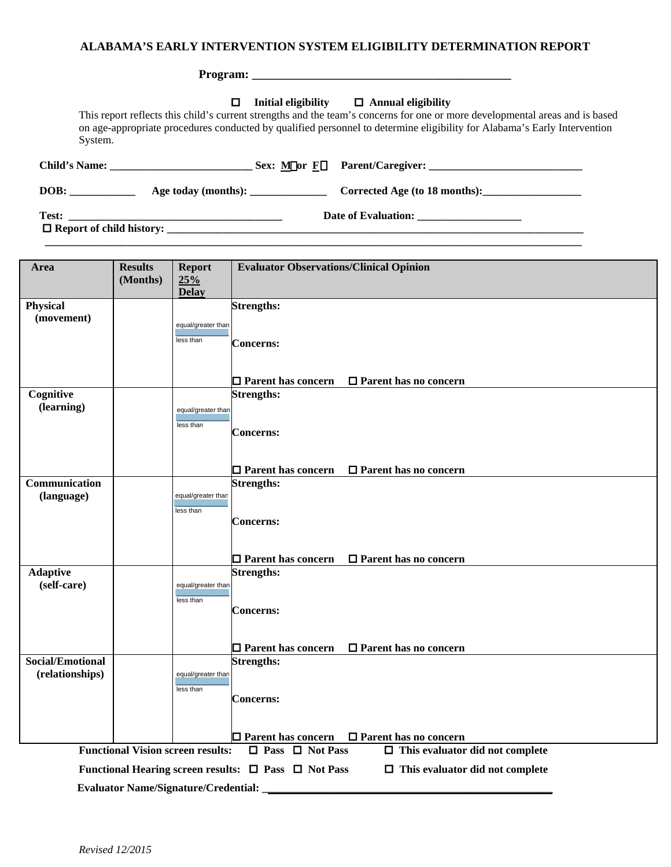## **ALABAMA'S EARLY INTERVENTION SYSTEM ELIGIBILITY DETERMINATION REPORT**

| П<br>System.                                | Initial eligibility $\Box$ Annual eligibility<br>This report reflects this child's current strengths and the team's concerns for one or more developmental areas and is based<br>on age-appropriate procedures conducted by qualified personnel to determine eligibility for Alabama's Early Intervention |
|---------------------------------------------|-----------------------------------------------------------------------------------------------------------------------------------------------------------------------------------------------------------------------------------------------------------------------------------------------------------|
|                                             |                                                                                                                                                                                                                                                                                                           |
| DOB:<br>Age today (months): _______________ | Corrected Age (to 18 months):                                                                                                                                                                                                                                                                             |
|                                             |                                                                                                                                                                                                                                                                                                           |

| Area                                | <b>Results</b><br>(Months)                                                                                           | <b>Report</b><br>25%<br><b>Delay</b>        | <b>Evaluator Observations/Clinical Opinion</b>                                                           |  |  |  |
|-------------------------------------|----------------------------------------------------------------------------------------------------------------------|---------------------------------------------|----------------------------------------------------------------------------------------------------------|--|--|--|
| <b>Physical</b><br>(movement)       |                                                                                                                      | equal/greater than<br>less than             | <b>Strengths:</b><br><b>Concerns:</b>                                                                    |  |  |  |
|                                     |                                                                                                                      |                                             | $\Box$ Parent has concern<br>$\Box$ Parent has no concern                                                |  |  |  |
| Cognitive<br>(learning)             |                                                                                                                      | equal/greater than<br>less than             | <b>Strengths:</b><br><b>Concerns:</b>                                                                    |  |  |  |
| Communication                       |                                                                                                                      |                                             | $\Box$ Parent has concern<br>$\Box$ Parent has no concern<br><b>Strengths:</b>                           |  |  |  |
| (language)                          |                                                                                                                      | equal/greater than<br>less than             | <b>Concerns:</b>                                                                                         |  |  |  |
|                                     |                                                                                                                      |                                             | $\Box$ Parent has concern<br>$\Box$ Parent has no concern                                                |  |  |  |
| <b>Adaptive</b><br>(self-care)      |                                                                                                                      | equal/greater than<br>less than             | <b>Strengths:</b><br><b>Concerns:</b>                                                                    |  |  |  |
|                                     |                                                                                                                      |                                             | □ Parent has no concern<br>$\Box$ Parent has concern                                                     |  |  |  |
| Social/Emotional<br>(relationships) |                                                                                                                      | equal/greater than<br>less than             | <b>Strengths:</b><br><b>Concerns:</b>                                                                    |  |  |  |
|                                     |                                                                                                                      |                                             | $\Box$<br>Parent has no concern<br>$\Box$ Parent has concern                                             |  |  |  |
|                                     | <b>Functional Vision screen results:</b><br>$\Box$ Pass<br>$\Box$ Not Pass<br>$\Box$ This evaluator did not complete |                                             |                                                                                                          |  |  |  |
|                                     |                                                                                                                      | <b>Evaluator Name/Signature/Credential:</b> | Functional Hearing screen results: $\Box$ Pass $\Box$ Not Pass<br>$\Box$ This evaluator did not complete |  |  |  |